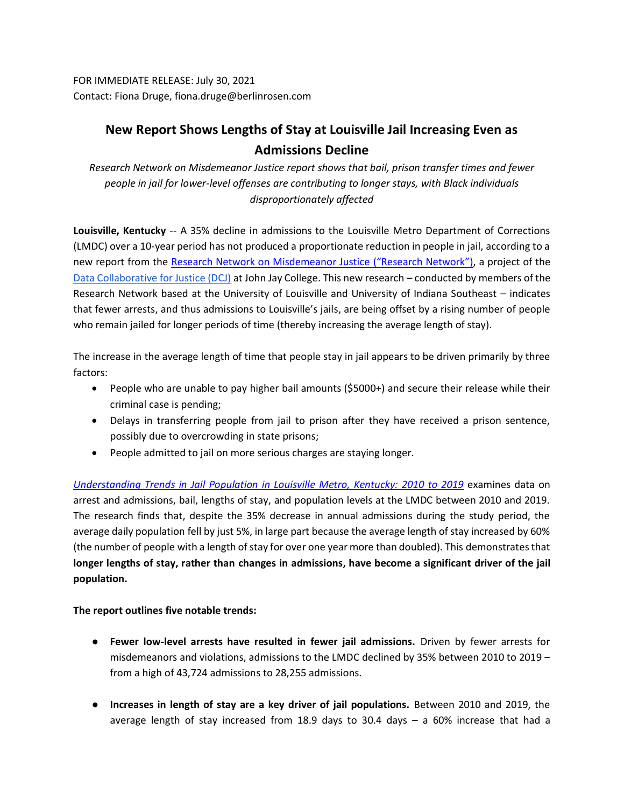FOR IMMEDIATE RELEASE: July 30, 2021 Contact: Fiona Druge, fiona.druge@berlinrosen.com

## **New Report Shows Lengths of Stay at Louisville Jail Increasing Even as Admissions Decline**

*Research Network on Misdemeanor Justice report shows that bail, prison transfer times and fewer people in jail for lower-level offenses are contributing to longer stays, with Black individuals disproportionately affected*

**Louisville, Kentucky** -- A 35% decline in admissions to the Louisville Metro Department of Corrections (LMDC) over a 10-year period has not produced a proportionate reduction in people in jail, according to a new report from the [Research Network on Misdemeanor Justice](https://datacollaborativeforjustice.org/work/research-network/#:~:text=The%20Research%20Network%20seeks%20to,the%20local%20and%20state%20levels.&text=The%20Research%20Network%20is%20comprised,on%20lower%2Dlevel%20enforcement%20trends.) ("Research Network"), a project of the [Data Collaborative for Justice \(DCJ\)](https://datacollaborativeforjustice.org/) at John Jay College. This new research – conducted by members of the Research Network based at the University of Louisville and University of Indiana Southeast – indicates that fewer arrests, and thus admissions to Louisville's jails, are being offset by a rising number of people who remain jailed for longer periods of time (thereby increasing the average length of stay).

The increase in the average length of time that people stay in jail appears to be driven primarily by three factors:

- People who are unable to pay higher bail amounts (\$5000+) and secure their release while their criminal case is pending;
- Delays in transferring people from jail to prison after they have received a prison sentence, possibly due to overcrowding in state prisons;
- People admitted to jail on more serious charges are staying longer.

*[Understanding Trends in Jail Population in Louisville Metro, Kentucky: 2010 to 2019](https://datacollaborativeforjustice.org/work/confinement/understanding-trends-in-the-jail-population-in-louisville-metro-kentucky-2010-to-2019/)* examines data on arrest and admissions, bail, lengths of stay, and population levels at the LMDC between 2010 and 2019. The research finds that, despite the 35% decrease in annual admissions during the study period, the average daily population fell by just 5%, in large part because the average length of stay increased by 60% (the number of people with a length of stay for over one year more than doubled). This demonstratesthat **longer lengths of stay, rather than changes in admissions, have become a significant driver of the jail population.** 

**The report outlines five notable trends:**

- **Fewer low-level arrests have resulted in fewer jail admissions.** Driven by fewer arrests for misdemeanors and violations, admissions to the LMDC declined by 35% between 2010 to 2019 – from a high of 43,724 admissions to 28,255 admissions.
- **Increases in length of stay are a key driver of jail populations.** Between 2010 and 2019, the average length of stay increased from 18.9 days to 30.4 days – a 60% increase that had a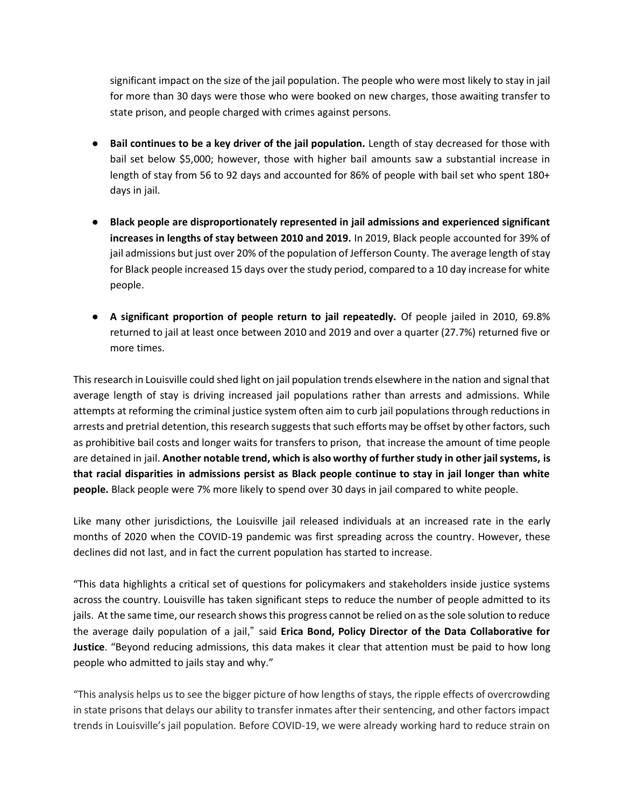significant impact on the size of the jail population. The people who were most likely to stay in jail for more than 30 days were those who were booked on new charges, those awaiting transfer to state prison, and people charged with crimes against persons.

- **Bail continues to be a key driver of the jail population.** Length of stay decreased for those with bail set below \$5,000; however, those with higher bail amounts saw a substantial increase in length of stay from 56 to 92 days and accounted for 86% of people with bail set who spent 180+ days in jail.
- **Black people are disproportionately represented in jail admissions and experienced significant increases in lengths of stay between 2010 and 2019.** In 2019, Black people accounted for 39% of jail admissions but just over 20% of the population of Jefferson County. The average length of stay for Black people increased 15 days over the study period, compared to a 10 day increase for white people.
- **A significant proportion of people return to jail repeatedly.** Of people jailed in 2010, 69.8% returned to jail at least once between 2010 and 2019 and over a quarter (27.7%) returned five or more times.

This research in Louisville could shed light on jail population trends elsewhere in the nation and signal that average length of stay is driving increased jail populations rather than arrests and admissions. While attempts at reforming the criminal justice system often aim to curb jail populations through reductions in arrests and pretrial detention, this research suggests that such efforts may be offset by other factors, such as prohibitive bail costs and longer waits for transfers to prison, that increase the amount of time people are detained in jail. **Another notable trend, which is also worthy of further study in other jail systems, is that racial disparities in admissions persist as Black people continue to stay in jail longer than white people.** Black people were 7% more likely to spend over 30 days in jail compared to white people.

Like many other jurisdictions, the Louisville jail released individuals at an increased rate in the early months of 2020 when the COVID-19 pandemic was first spreading across the country. However, these declines did not last, and in fact the current population has started to increase.

"This data highlights a critical set of questions for policymakers and stakeholders inside justice systems across the country. Louisville has taken significant steps to reduce the number of people admitted to its jails. At the same time, our research shows this progress cannot be relied on as the sole solution to reduce the average daily population of a jail," said **Erica Bond, Policy Director of the Data Collaborative for Justice**. "Beyond reducing admissions, this data makes it clear that attention must be paid to how long people who admitted to jails stay and why."

"This analysis helps us to see the bigger picture of how lengths of stays, the ripple effects of overcrowding in state prisons that delays our ability to transfer inmates after their sentencing, and other factors impact trends in Louisville's jail population. Before COVID-19, we were already working hard to reduce strain on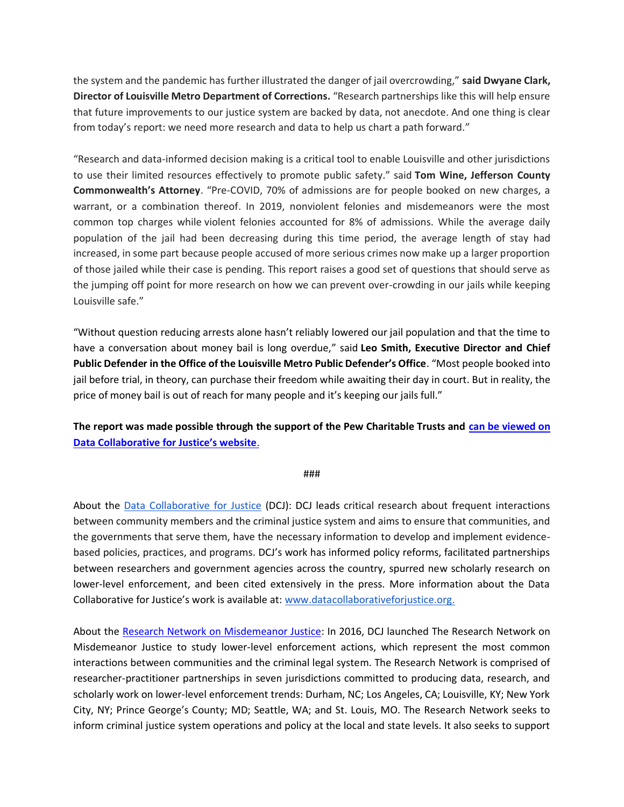the system and the pandemic has further illustrated the danger of jail overcrowding," **said Dwyane Clark, Director of Louisville Metro Department of Corrections.** "Research partnerships like this will help ensure that future improvements to our justice system are backed by data, not anecdote. And one thing is clear from today's report: we need more research and data to help us chart a path forward."

"Research and data-informed decision making is a critical tool to enable Louisville and other jurisdictions to use their limited resources effectively to promote public safety." said **Tom Wine, Jefferson County Commonwealth's Attorney**. "Pre-COVID, 70% of admissions are for people booked on new charges, a warrant, or a combination thereof. In 2019, nonviolent felonies and misdemeanors were the most common top charges while violent felonies accounted for 8% of admissions. While the average daily population of the jail had been decreasing during this time period, the average length of stay had increased, in some part because people accused of more serious crimes now make up a larger proportion of those jailed while their case is pending. This report raises a good set of questions that should serve as the jumping off point for more research on how we can prevent over-crowding in our jails while keeping Louisville safe."

"Without question reducing arrests alone hasn't reliably lowered our jail population and that the time to have a conversation about money bail is long overdue," said **Leo Smith, Executive Director and Chief Public Defender in the Office of the Louisville Metro Public Defender's Office**. "Most people booked into jail before trial, in theory, can purchase their freedom while awaiting their day in court. But in reality, the price of money bail is out of reach for many people and it's keeping our jails full."

**The report was made possible through the support of the Pew Charitable Trusts and [can be viewed on](https://datacollaborativeforjustice.org/work/confinement/understanding-trends-in-the-jail-population-in-louisville-metro-kentucky-2010-to-2019/)  [Data Collaborative for Justice's website](https://datacollaborativeforjustice.org/work/confinement/understanding-trends-in-the-jail-population-in-louisville-metro-kentucky-2010-to-2019/)**.

## ###

About the [Data Collaborative for Justice](https://datacollaborativeforjustice.org/) (DCJ): DCJ leads critical research about frequent interactions between community members and the criminal justice system and aims to ensure that communities, and the governments that serve them, have the necessary information to develop and implement evidencebased policies, practices, and programs. DCJ's work has informed policy reforms, facilitated partnerships between researchers and government agencies across the country, spurred new scholarly research on lower-level enforcement, and been cited extensively in the press. More information about the Data Collaborative for Justice's work is available at: [www.datacollaborativeforjustice.org.](http://www.datacollaborativeforjustice.org/)

About the [Research Network on Misdemeanor Justice:](https://datacollaborativeforjustice.org/work/research-network/#:~:text=The%20Research%20Network%20seeks%20to,the%20local%20and%20state%20levels.&text=The%20Research%20Network%20is%20comprised,on%20lower%2Dlevel%20enforcement%20trends.) In 2016, DCJ launched [The Research Network on](https://datacollaborativeforjustice.org/work/research-network/)  [Misdemeanor Justice](https://datacollaborativeforjustice.org/work/research-network/) to study lower-level enforcement actions, which represent the most common interactions between communities and the criminal legal system. The Research Network is comprised of researcher-practitioner partnerships in seven jurisdictions committed to producing data, research, and scholarly work on lower-level enforcement trends: Durham, NC; Los Angeles, CA; Louisville, KY; New York City, NY; Prince George's County; MD; Seattle, WA; and St. Louis, MO. The Research Network seeks to inform criminal justice system operations and policy at the local and state levels. It also seeks to support